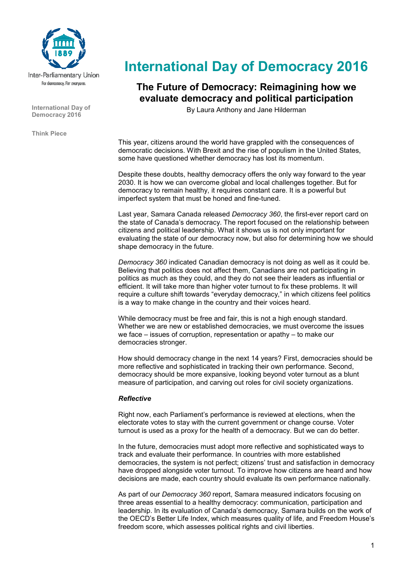

**International Day of Democracy 2016** 

**Think Piece** 

# **International Day of Democracy 2016**

# **The Future of Democracy: Reimagining how we evaluate democracy and political participation**

By Laura Anthony and Jane Hilderman

This year, citizens around the world have grappled with the consequences of democratic decisions. With Brexit and the rise of populism in the United States, some have questioned whether democracy has lost its momentum.

Despite these doubts, healthy democracy offers the only way forward to the year 2030. It is how we can overcome global and local challenges together. But for democracy to remain healthy, it requires constant care. It is a powerful but imperfect system that must be honed and fine-tuned.

Last year, Samara Canada released *Democracy 360*, the first-ever report card on the state of Canada's democracy. The report focused on the relationship between citizens and political leadership. What it shows us is not only important for evaluating the state of our democracy now, but also for determining how we should shape democracy in the future.

*Democracy 360* indicated Canadian democracy is not doing as well as it could be. Believing that politics does not affect them, Canadians are not participating in politics as much as they could, and they do not see their leaders as influential or efficient. It will take more than higher voter turnout to fix these problems. It will require a culture shift towards "everyday democracy," in which citizens feel politics is a way to make change in the country and their voices heard.

While democracy must be free and fair, this is not a high enough standard. Whether we are new or established democracies, we must overcome the issues we face – issues of corruption, representation or apathy – to make our democracies stronger.

How should democracy change in the next 14 years? First, democracies should be more reflective and sophisticated in tracking their own performance. Second, democracy should be more expansive, looking beyond voter turnout as a blunt measure of participation, and carving out roles for civil society organizations.

## *Reflective*

Right now, each Parliament's performance is reviewed at elections, when the electorate votes to stay with the current government or change course. Voter turnout is used as a proxy for the health of a democracy. But we can do better.

In the future, democracies must adopt more reflective and sophisticated ways to track and evaluate their performance. In countries with more established democracies, the system is not perfect; citizens' trust and satisfaction in democracy have dropped alongside voter turnout. To improve how citizens are heard and how decisions are made, each country should evaluate its own performance nationally.

As part of our *Democracy 360* report, Samara measured indicators focusing on three areas essential to a healthy democracy: communication, participation and leadership. In its evaluation of Canada's democracy, Samara builds on the work of the OECD's Better Life Index, which measures quality of life, and Freedom House's freedom score, which assesses political rights and civil liberties.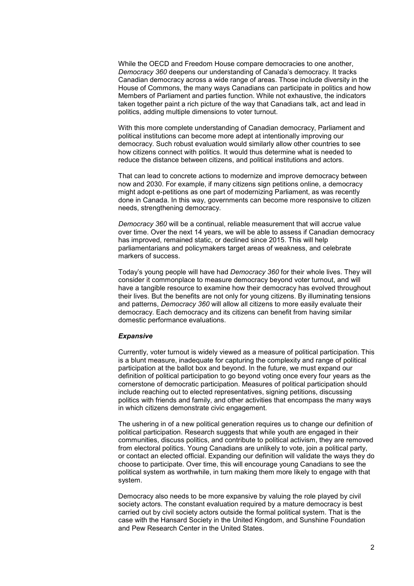While the OECD and Freedom House compare democracies to one another, *Democracy 360* deepens our understanding of Canada's democracy. It tracks Canadian democracy across a wide range of areas. Those include diversity in the House of Commons, the many ways Canadians can participate in politics and how Members of Parliament and parties function. While not exhaustive, the indicators taken together paint a rich picture of the way that Canadians talk, act and lead in politics, adding multiple dimensions to voter turnout.

With this more complete understanding of Canadian democracy, Parliament and political institutions can become more adept at intentionally improving our democracy. Such robust evaluation would similarly allow other countries to see how citizens connect with politics. It would thus determine what is needed to reduce the distance between citizens, and political institutions and actors.

That can lead to concrete actions to modernize and improve democracy between now and 2030. For example, if many citizens sign petitions online, a democracy might adopt e-petitions as one part of modernizing Parliament, as was recently done in Canada. In this way, governments can become more responsive to citizen needs, strengthening democracy.

*Democracy 360* will be a continual, reliable measurement that will accrue value over time. Over the next 14 years, we will be able to assess if Canadian democracy has improved, remained static, or declined since 2015. This will help parliamentarians and policymakers target areas of weakness, and celebrate markers of success.

Today's young people will have had *Democracy 360* for their whole lives. They will consider it commonplace to measure democracy beyond voter turnout, and will have a tangible resource to examine how their democracy has evolved throughout their lives. But the benefits are not only for young citizens. By illuminating tensions and patterns, *Democracy 360* will allow all citizens to more easily evaluate their democracy. Each democracy and its citizens can benefit from having similar domestic performance evaluations.

#### *Expansive*

Currently, voter turnout is widely viewed as a measure of political participation. This is a blunt measure, inadequate for capturing the complexity and range of political participation at the ballot box and beyond. In the future, we must expand our definition of political participation to go beyond voting once every four years as the cornerstone of democratic participation. Measures of political participation should include reaching out to elected representatives, signing petitions, discussing politics with friends and family, and other activities that encompass the many ways in which citizens demonstrate civic engagement.

The ushering in of a new political generation requires us to change our definition of political participation. Research suggests that while youth are engaged in their communities, discuss politics, and contribute to political activism, they are removed from electoral politics. Young Canadians are unlikely to vote, join a political party, or contact an elected official. Expanding our definition will validate the ways they do choose to participate. Over time, this will encourage young Canadians to see the political system as worthwhile, in turn making them more likely to engage with that system.

Democracy also needs to be more expansive by valuing the role played by civil society actors. The constant evaluation required by a mature democracy is best carried out by civil society actors outside the formal political system. That is the case with the Hansard Society in the United Kingdom, and Sunshine Foundation and Pew Research Center in the United States.